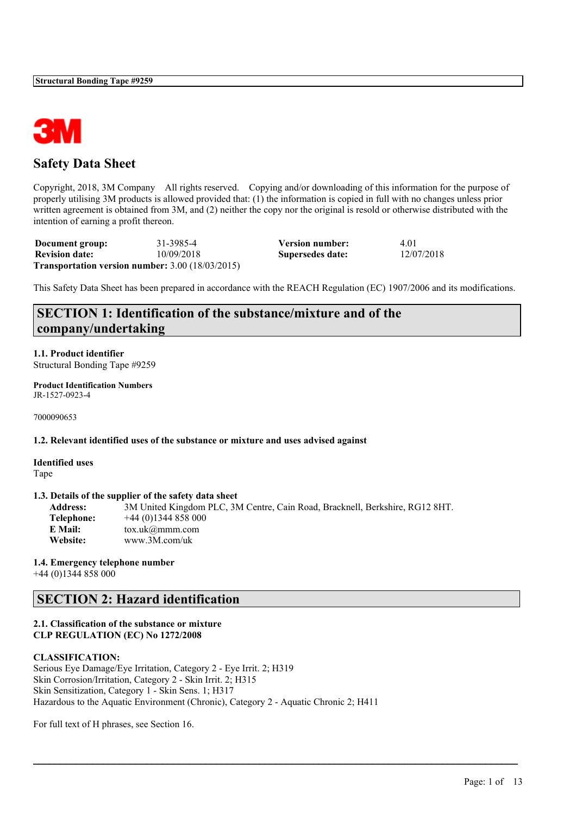

## **Safety Data Sheet**

Copyright, 2018, 3M Company All rights reserved. Copying and/or downloading of this information for the purpose of properly utilising 3M products is allowed provided that: (1) the information is copied in full with no changes unless prior written agreement is obtained from 3M, and (2) neither the copy nor the original is resold or otherwise distributed with the intention of earning a profit thereon.

| Document group:       | 31-3985-4                                                     | <b>Version number:</b> | 4.01       |
|-----------------------|---------------------------------------------------------------|------------------------|------------|
| <b>Revision date:</b> | 10/09/2018                                                    | Supersedes date:       | 12/07/2018 |
|                       | <b>Transportation version number:</b> $3.00$ ( $18/03/2015$ ) |                        |            |

This Safety Data Sheet has been prepared in accordance with the REACH Regulation (EC) 1907/2006 and its modifications.

## **SECTION 1: Identification of the substance/mixture and of the company/undertaking**

**1.1. Product identifier** Structural Bonding Tape #9259

**Product Identification Numbers** JR-1527-0923-4

7000090653

**1.2. Relevant identified uses of the substance or mixture and uses advised against**

**Identified uses** Tape

#### **1.3. Details of the supplier of the safety data sheet**

**Address:** 3M United Kingdom PLC, 3M Centre, Cain Road, Bracknell, Berkshire, RG12 8HT. **Telephone:** +44 (0)1344 858 000 **E Mail:** tox.uk@mmm.com **Website:** www.3M.com/uk

 $\mathcal{L}_\mathcal{L} = \mathcal{L}_\mathcal{L} = \mathcal{L}_\mathcal{L} = \mathcal{L}_\mathcal{L} = \mathcal{L}_\mathcal{L} = \mathcal{L}_\mathcal{L} = \mathcal{L}_\mathcal{L} = \mathcal{L}_\mathcal{L} = \mathcal{L}_\mathcal{L} = \mathcal{L}_\mathcal{L} = \mathcal{L}_\mathcal{L} = \mathcal{L}_\mathcal{L} = \mathcal{L}_\mathcal{L} = \mathcal{L}_\mathcal{L} = \mathcal{L}_\mathcal{L} = \mathcal{L}_\mathcal{L} = \mathcal{L}_\mathcal{L}$ 

#### **1.4. Emergency telephone number**

+44 (0)1344 858 000

## **SECTION 2: Hazard identification**

#### **2.1. Classification of the substance or mixture CLP REGULATION (EC) No 1272/2008**

#### **CLASSIFICATION:**

Serious Eye Damage/Eye Irritation, Category 2 - Eye Irrit. 2; H319 Skin Corrosion/Irritation, Category 2 - Skin Irrit. 2; H315 Skin Sensitization, Category 1 - Skin Sens. 1; H317 Hazardous to the Aquatic Environment (Chronic), Category 2 - Aquatic Chronic 2; H411

For full text of H phrases, see Section 16.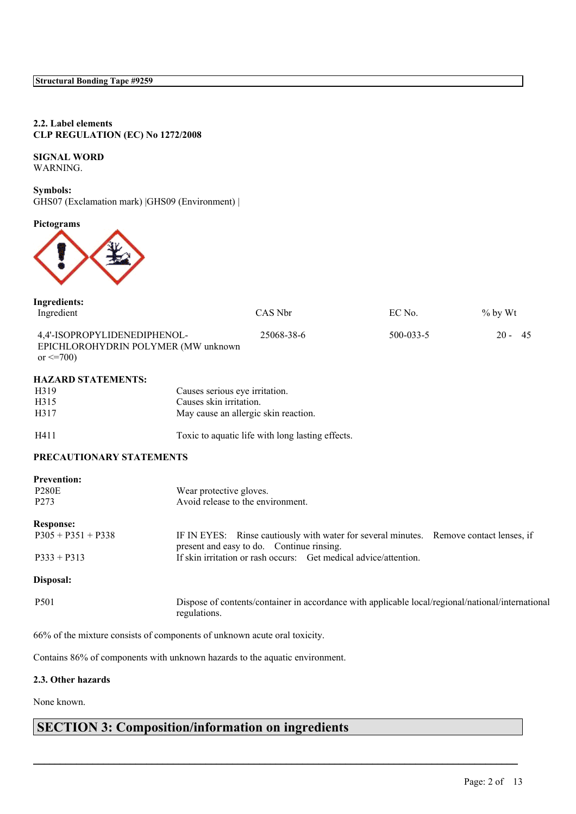#### **2.2. Label elements CLP REGULATION (EC) No 1272/2008**

## **SIGNAL WORD**

WARNING.

**Symbols:** GHS07 (Exclamation mark) |GHS09 (Environment) |

**Pictograms**



| <b>Ingredients:</b><br>Ingredient                                                     |                                                                  | CAS Nbr                                                                                                                             | EC No.    | $%$ by Wt      |  |
|---------------------------------------------------------------------------------------|------------------------------------------------------------------|-------------------------------------------------------------------------------------------------------------------------------------|-----------|----------------|--|
| 4,4'-ISOPROPYLIDENEDIPHENOL-<br>EPICHLOROHYDRIN POLYMER (MW unknown<br>or $\leq$ 700) |                                                                  | 25068-38-6                                                                                                                          | 500-033-5 | $20 -$<br>- 45 |  |
| <b>HAZARD STATEMENTS:</b>                                                             |                                                                  |                                                                                                                                     |           |                |  |
| H319                                                                                  |                                                                  | Causes serious eye irritation.                                                                                                      |           |                |  |
| H315                                                                                  | Causes skin irritation.                                          |                                                                                                                                     |           |                |  |
| H317                                                                                  |                                                                  | May cause an allergic skin reaction.                                                                                                |           |                |  |
| H411                                                                                  |                                                                  | Toxic to aquatic life with long lasting effects.                                                                                    |           |                |  |
| PRECAUTIONARY STATEMENTS                                                              |                                                                  |                                                                                                                                     |           |                |  |
| <b>Prevention:</b>                                                                    |                                                                  |                                                                                                                                     |           |                |  |
| <b>P280E</b>                                                                          |                                                                  | Wear protective gloves.                                                                                                             |           |                |  |
| P <sub>273</sub>                                                                      |                                                                  | Avoid release to the environment.                                                                                                   |           |                |  |
| <b>Response:</b>                                                                      |                                                                  |                                                                                                                                     |           |                |  |
| $P305 + P351 + P338$                                                                  |                                                                  | IF IN EYES: Rinse cautiously with water for several minutes. Remove contact lenses, if<br>present and easy to do. Continue rinsing. |           |                |  |
| $P333 + P313$                                                                         | If skin irritation or rash occurs: Get medical advice/attention. |                                                                                                                                     |           |                |  |
| Disposal:                                                                             |                                                                  |                                                                                                                                     |           |                |  |
| P501                                                                                  | regulations.                                                     | Dispose of contents/container in accordance with applicable local/regional/national/international                                   |           |                |  |
| 66% of the mixture consists of components of unknown acute oral toxicity.             |                                                                  |                                                                                                                                     |           |                |  |
|                                                                                       |                                                                  | Contains 86% of components with unknown hazards to the aquatic environment.                                                         |           |                |  |

 $\mathcal{L}_\mathcal{L} = \mathcal{L}_\mathcal{L} = \mathcal{L}_\mathcal{L} = \mathcal{L}_\mathcal{L} = \mathcal{L}_\mathcal{L} = \mathcal{L}_\mathcal{L} = \mathcal{L}_\mathcal{L} = \mathcal{L}_\mathcal{L} = \mathcal{L}_\mathcal{L} = \mathcal{L}_\mathcal{L} = \mathcal{L}_\mathcal{L} = \mathcal{L}_\mathcal{L} = \mathcal{L}_\mathcal{L} = \mathcal{L}_\mathcal{L} = \mathcal{L}_\mathcal{L} = \mathcal{L}_\mathcal{L} = \mathcal{L}_\mathcal{L}$ 

#### **2.3. Other hazards**

None known.

# **SECTION 3: Composition/information on ingredients**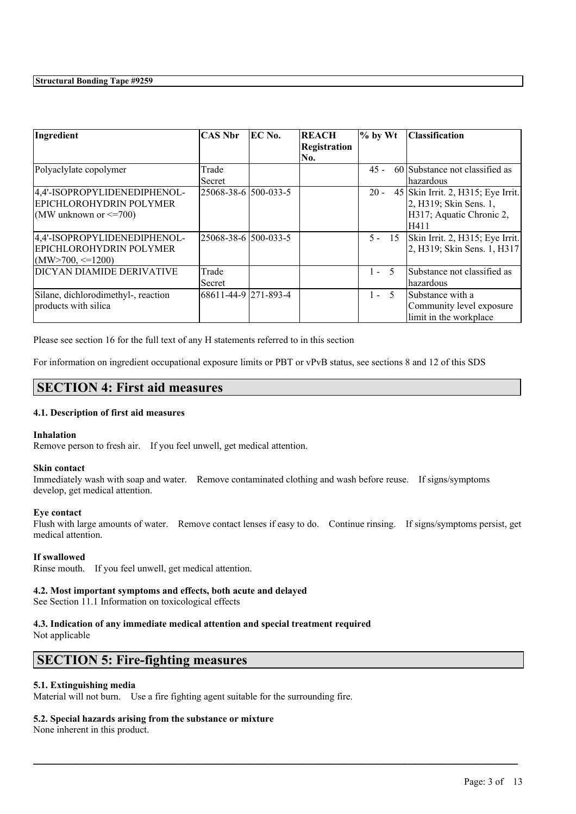| Ingredient                                                                                | CAS Nbr              | <b>EC No.</b> | <b>REACH</b><br><b>Registration</b> | $\%$ by Wt | <b>Classification</b>                                                                            |
|-------------------------------------------------------------------------------------------|----------------------|---------------|-------------------------------------|------------|--------------------------------------------------------------------------------------------------|
|                                                                                           |                      |               | No.                                 |            |                                                                                                  |
| Polyaclylate copolymer                                                                    | Trade<br>Secret      |               |                                     | $45 -$     | 60 Substance not classified as<br>hazardous                                                      |
| 4,4'-ISOPROPYLIDENEDIPHENOL-<br>EPICHLOROHYDRIN POLYMER<br>$(MW)$ unknown or $\leq$ =700) | 25068-38-6 500-033-5 |               |                                     | $20 -$     | 45 Skin Irrit. 2, H315; Eye Irrit.<br>2, H319; Skin Sens. 1,<br>H317; Aquatic Chronic 2,<br>H411 |
| 4,4'-ISOPROPYLIDENEDIPHENOL-<br>EPICHLOROHYDRIN POLYMER<br>$(MW>700, \leq 1200)$          | 25068-38-6 500-033-5 |               |                                     | $5 - 15$   | Skin Irrit. 2, H315; Eye Irrit.<br>2, H319; Skin Sens. 1, H317                                   |
| DICYAN DIAMIDE DERIVATIVE                                                                 | Trade<br>Secret      |               |                                     | $1 - 5$    | Substance not classified as<br>hazardous                                                         |
| Silane, dichlorodimethyl-, reaction<br>products with silica                               | 68611-44-9 271-893-4 |               |                                     | $1 - 5$    | Substance with a<br>Community level exposure<br>limit in the workplace                           |

Please see section 16 for the full text of any H statements referred to in this section

For information on ingredient occupational exposure limits or PBT or vPvB status, see sections 8 and 12 of this SDS

## **SECTION 4: First aid measures**

#### **4.1. Description of first aid measures**

#### **Inhalation**

Remove person to fresh air. If you feel unwell, get medical attention.

#### **Skin contact**

Immediately wash with soap and water. Remove contaminated clothing and wash before reuse. If signs/symptoms develop, get medical attention.

#### **Eye contact**

Flush with large amounts of water. Remove contact lenses if easy to do. Continue rinsing. If signs/symptoms persist, get medical attention.

 $\mathcal{L}_\mathcal{L} = \mathcal{L}_\mathcal{L} = \mathcal{L}_\mathcal{L} = \mathcal{L}_\mathcal{L} = \mathcal{L}_\mathcal{L} = \mathcal{L}_\mathcal{L} = \mathcal{L}_\mathcal{L} = \mathcal{L}_\mathcal{L} = \mathcal{L}_\mathcal{L} = \mathcal{L}_\mathcal{L} = \mathcal{L}_\mathcal{L} = \mathcal{L}_\mathcal{L} = \mathcal{L}_\mathcal{L} = \mathcal{L}_\mathcal{L} = \mathcal{L}_\mathcal{L} = \mathcal{L}_\mathcal{L} = \mathcal{L}_\mathcal{L}$ 

#### **If swallowed**

Rinse mouth. If you feel unwell, get medical attention.

#### **4.2. Most important symptoms and effects, both acute and delayed**

See Section 11.1 Information on toxicological effects

## **4.3. Indication of any immediate medical attention and special treatment required**

Not applicable

## **SECTION 5: Fire-fighting measures**

#### **5.1. Extinguishing media**

Material will not burn. Use a fire fighting agent suitable for the surrounding fire.

#### **5.2. Special hazards arising from the substance or mixture**

None inherent in this product.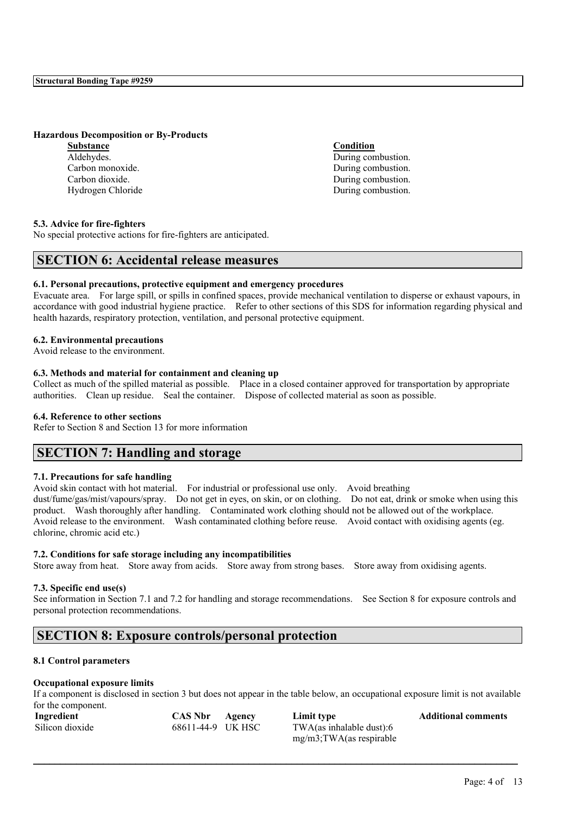#### **Hazardous Decomposition or By-Products**

**Substance Condition** Aldehydes. During combustion. Carbon monoxide. During combustion. Carbon dioxide. During combustion. Hydrogen Chloride **During Combustion**.

#### **5.3. Advice for fire-fighters**

No special protective actions for fire-fighters are anticipated.

## **SECTION 6: Accidental release measures**

#### **6.1. Personal precautions, protective equipment and emergency procedures**

Evacuate area. For large spill, or spills in confined spaces, provide mechanical ventilation to disperse or exhaust vapours, in accordance with good industrial hygiene practice. Refer to other sections of this SDS for information regarding physical and health hazards, respiratory protection, ventilation, and personal protective equipment.

#### **6.2. Environmental precautions**

Avoid release to the environment.

#### **6.3. Methods and material for containment and cleaning up**

Collect as much of the spilled material as possible. Place in a closed container approved for transportation by appropriate authorities. Clean up residue. Seal the container. Dispose of collected material as soon as possible.

#### **6.4. Reference to other sections**

Refer to Section 8 and Section 13 for more information

## **SECTION 7: Handling and storage**

#### **7.1. Precautions for safe handling**

Avoid skin contact with hot material. For industrial or professional use only. Avoid breathing dust/fume/gas/mist/vapours/spray. Do not get in eyes, on skin, or on clothing. Do not eat, drink or smoke when using this product. Wash thoroughly after handling. Contaminated work clothing should not be allowed out of the workplace. Avoid release to the environment. Wash contaminated clothing before reuse. Avoid contact with oxidising agents (eg. chlorine, chromic acid etc.)

#### **7.2. Conditions for safe storage including any incompatibilities**

Store away from heat. Store away from acids. Store away from strong bases. Store away from oxidising agents.

#### **7.3. Specific end use(s)**

See information in Section 7.1 and 7.2 for handling and storage recommendations. See Section 8 for exposure controls and personal protection recommendations.

## **SECTION 8: Exposure controls/personal protection**

#### **8.1 Control parameters**

#### **Occupational exposure limits**

If a component is disclosed in section 3 but does not appear in the table below, an occupational exposure limit is not available for the component.

| Ingredient      | CAS Nbr           | Agency | Limit type                  | <b>Additional comments</b> |
|-----------------|-------------------|--------|-----------------------------|----------------------------|
| Silicon dioxide | 68611-44-9 UK HSC |        | $TWA$ (as inhalable dust):6 |                            |
|                 |                   |        | $mg/m3$ ; TWA(as respirable |                            |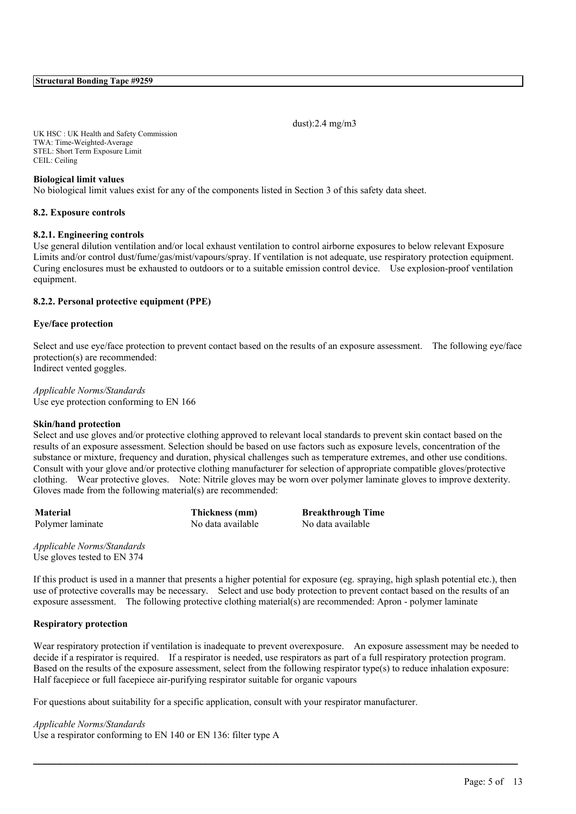dust):2.4 mg/m3

UK HSC : UK Health and Safety Commission TWA: Time-Weighted-Average STEL: Short Term Exposure Limit CEIL: Ceiling

#### **Biological limit values**

No biological limit values exist for any of the components listed in Section 3 of this safety data sheet.

#### **8.2. Exposure controls**

#### **8.2.1. Engineering controls**

Use general dilution ventilation and/or local exhaust ventilation to control airborne exposures to below relevant Exposure Limits and/or control dust/fume/gas/mist/vapours/spray. If ventilation is not adequate, use respiratory protection equipment. Curing enclosures must be exhausted to outdoors or to a suitable emission control device. Use explosion-proof ventilation equipment.

#### **8.2.2. Personal protective equipment (PPE)**

#### **Eye/face protection**

Select and use eye/face protection to prevent contact based on the results of an exposure assessment. The following eye/face protection(s) are recommended: Indirect vented goggles.

#### *Applicable Norms/Standards* Use eye protection conforming to EN 166

#### **Skin/hand protection**

Select and use gloves and/or protective clothing approved to relevant local standards to prevent skin contact based on the results of an exposure assessment. Selection should be based on use factors such as exposure levels, concentration of the substance or mixture, frequency and duration, physical challenges such as temperature extremes, and other use conditions. Consult with your glove and/or protective clothing manufacturer for selection of appropriate compatible gloves/protective clothing. Wear protective gloves. Note: Nitrile gloves may be worn over polymer laminate gloves to improve dexterity. Gloves made from the following material(s) are recommended:

Polymer laminate No data available No data available

**Material Thickness (mm) Breakthrough Time**

*Applicable Norms/Standards* Use gloves tested to EN 374

If this product is used in a manner that presents a higher potential for exposure (eg. spraying, high splash potential etc.), then use of protective coveralls may be necessary. Select and use body protection to prevent contact based on the results of an exposure assessment. The following protective clothing material(s) are recommended: Apron - polymer laminate

#### **Respiratory protection**

Wear respiratory protection if ventilation is inadequate to prevent overexposure. An exposure assessment may be needed to decide if a respirator is required. If a respirator is needed, use respirators as part of a full respiratory protection program. Based on the results of the exposure assessment, select from the following respirator type(s) to reduce inhalation exposure: Half facepiece or full facepiece air-purifying respirator suitable for organic vapours

 $\mathcal{L}_\mathcal{L} = \mathcal{L}_\mathcal{L} = \mathcal{L}_\mathcal{L} = \mathcal{L}_\mathcal{L} = \mathcal{L}_\mathcal{L} = \mathcal{L}_\mathcal{L} = \mathcal{L}_\mathcal{L} = \mathcal{L}_\mathcal{L} = \mathcal{L}_\mathcal{L} = \mathcal{L}_\mathcal{L} = \mathcal{L}_\mathcal{L} = \mathcal{L}_\mathcal{L} = \mathcal{L}_\mathcal{L} = \mathcal{L}_\mathcal{L} = \mathcal{L}_\mathcal{L} = \mathcal{L}_\mathcal{L} = \mathcal{L}_\mathcal{L}$ 

For questions about suitability for a specific application, consult with your respirator manufacturer.

#### *Applicable Norms/Standards*

Use a respirator conforming to EN 140 or EN 136: filter type A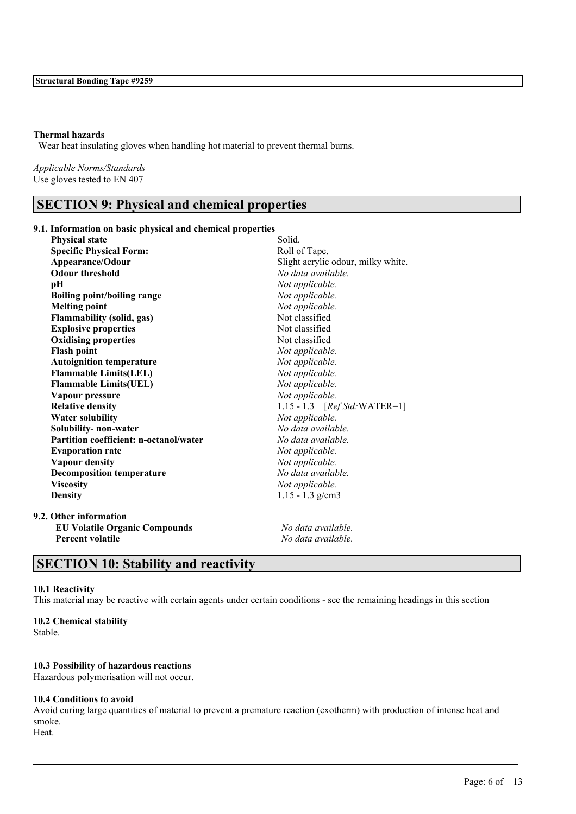#### **Thermal hazards**

Wear heat insulating gloves when handling hot material to prevent thermal burns.

*Applicable Norms/Standards* Use gloves tested to EN 407

## **SECTION 9: Physical and chemical properties**

#### **9.1. Information on basic physical and chemical properties**

| <b>Physical state</b>                  | Solid.                             |
|----------------------------------------|------------------------------------|
| <b>Specific Physical Form:</b>         | Roll of Tape.                      |
| Appearance/Odour                       | Slight acrylic odour, milky white. |
| <b>Odour threshold</b>                 | No data available.                 |
| pН                                     | Not applicable.                    |
| <b>Boiling point/boiling range</b>     | Not applicable.                    |
| <b>Melting point</b>                   | Not applicable.                    |
| Flammability (solid, gas)              | Not classified                     |
| <b>Explosive properties</b>            | Not classified                     |
| <b>Oxidising properties</b>            | Not classified                     |
| <b>Flash point</b>                     | Not applicable.                    |
| <b>Autoignition temperature</b>        | Not applicable.                    |
| <b>Flammable Limits(LEL)</b>           | Not applicable.                    |
| <b>Flammable Limits(UEL)</b>           | Not applicable.                    |
| Vapour pressure                        | Not applicable.                    |
| <b>Relative density</b>                | 1.15 - 1.3 $[RefStd:WATER=1]$      |
| <b>Water solubility</b>                | Not applicable.                    |
| Solubility- non-water                  | No data available.                 |
| Partition coefficient: n-octanol/water | No data available.                 |
| <b>Evaporation rate</b>                | Not applicable.                    |
| <b>Vapour density</b>                  | Not applicable.                    |
| <b>Decomposition temperature</b>       | No data available.                 |
| <b>Viscosity</b>                       | Not applicable.                    |
| <b>Density</b>                         | $1.15 - 1.3$ g/cm3                 |
| 9.2. Other information                 |                                    |
| <b>EU Volatile Organic Compounds</b>   | No data available.                 |
| <b>Percent volatile</b>                | No data available.                 |
|                                        |                                    |

## **SECTION 10: Stability and reactivity**

#### **10.1 Reactivity**

This material may be reactive with certain agents under certain conditions - see the remaining headings in this section

#### **10.2 Chemical stability**

Stable.

#### **10.3 Possibility of hazardous reactions**

Hazardous polymerisation will not occur.

#### **10.4 Conditions to avoid**

Avoid curing large quantities of material to prevent a premature reaction (exotherm) with production of intense heat and smoke.

 $\mathcal{L}_\mathcal{L} = \mathcal{L}_\mathcal{L} = \mathcal{L}_\mathcal{L} = \mathcal{L}_\mathcal{L} = \mathcal{L}_\mathcal{L} = \mathcal{L}_\mathcal{L} = \mathcal{L}_\mathcal{L} = \mathcal{L}_\mathcal{L} = \mathcal{L}_\mathcal{L} = \mathcal{L}_\mathcal{L} = \mathcal{L}_\mathcal{L} = \mathcal{L}_\mathcal{L} = \mathcal{L}_\mathcal{L} = \mathcal{L}_\mathcal{L} = \mathcal{L}_\mathcal{L} = \mathcal{L}_\mathcal{L} = \mathcal{L}_\mathcal{L}$ 

Heat.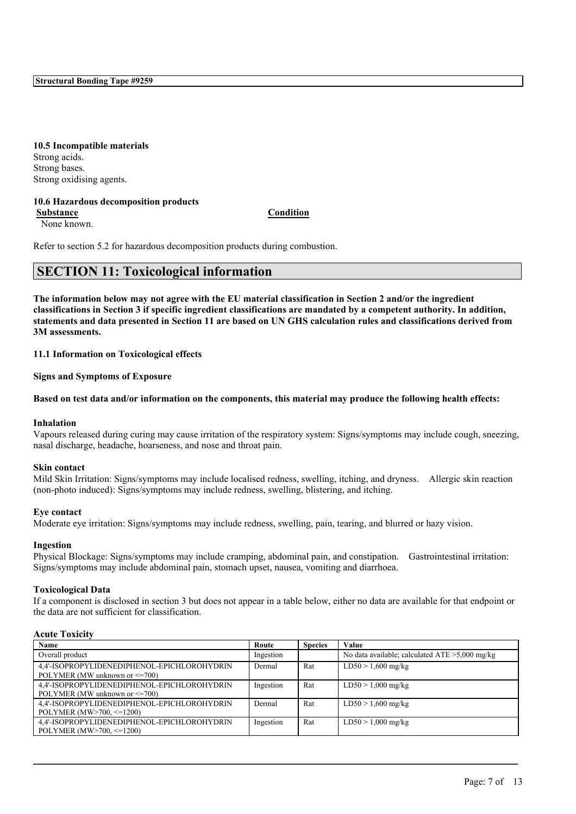**10.5 Incompatible materials** Strong acids. Strong bases. Strong oxidising agents.

#### **10.6 Hazardous decomposition products**

**Substance Condition** None known.

Refer to section 5.2 for hazardous decomposition products during combustion.

## **SECTION 11: Toxicological information**

The information below may not agree with the EU material classification in Section 2 and/or the ingredient classifications in Section 3 if specific ingredient classifications are mandated by a competent authority. In addition, statements and data presented in Section 11 are based on UN GHS calculation rules and classifications derived from **3M assessments.**

**11.1 Information on Toxicological effects**

**Signs and Symptoms of Exposure**

Based on test data and/or information on the components, this material may produce the following health effects:

#### **Inhalation**

Vapours released during curing may cause irritation of the respiratory system: Signs/symptoms may include cough, sneezing, nasal discharge, headache, hoarseness, and nose and throat pain.

#### **Skin contact**

Mild Skin Irritation: Signs/symptoms may include localised redness, swelling, itching, and dryness. Allergic skin reaction (non-photo induced): Signs/symptoms may include redness, swelling, blistering, and itching.

#### **Eye contact**

Moderate eye irritation: Signs/symptoms may include redness, swelling, pain, tearing, and blurred or hazy vision.

#### **Ingestion**

Physical Blockage: Signs/symptoms may include cramping, abdominal pain, and constipation. Gastrointestinal irritation: Signs/symptoms may include abdominal pain, stomach upset, nausea, vomiting and diarrhoea.

#### **Toxicological Data**

If a component is disclosed in section 3 but does not appear in a table below, either no data are available for that endpoint or the data are not sufficient for classification.

#### **Acute Toxicity**

| Name                                        | Route     | <b>Species</b> | Value                                             |
|---------------------------------------------|-----------|----------------|---------------------------------------------------|
| Overall product                             | Ingestion |                | No data available; calculated $ATE > 5,000$ mg/kg |
| 4.4'-ISOPROPYLIDENEDIPHENOL-EPICHLOROHYDRIN | Dermal    | Rat            | $LD50 > 1,600$ mg/kg                              |
| POLYMER (MW unknown or <= 700)              |           |                |                                                   |
| 4.4'-ISOPROPYLIDENEDIPHENOL-EPICHLOROHYDRIN | Ingestion | Rat            | $LD50 > 1,000$ mg/kg                              |
| POLYMER (MW unknown or $\leq$ =700)         |           |                |                                                   |
| 4.4'-ISOPROPYLIDENEDIPHENOL-EPICHLOROHYDRIN | Dermal    | Rat            | $LD50 > 1,600$ mg/kg                              |
| POLYMER (MW $>700$ , $\leq 1200$ )          |           |                |                                                   |
| 4.4'-ISOPROPYLIDENEDIPHENOL-EPICHLOROHYDRIN | Ingestion | Rat            | $LD50 > 1,000$ mg/kg                              |
| POLYMER (MW $>700$ , $\leq 1200$ )          |           |                |                                                   |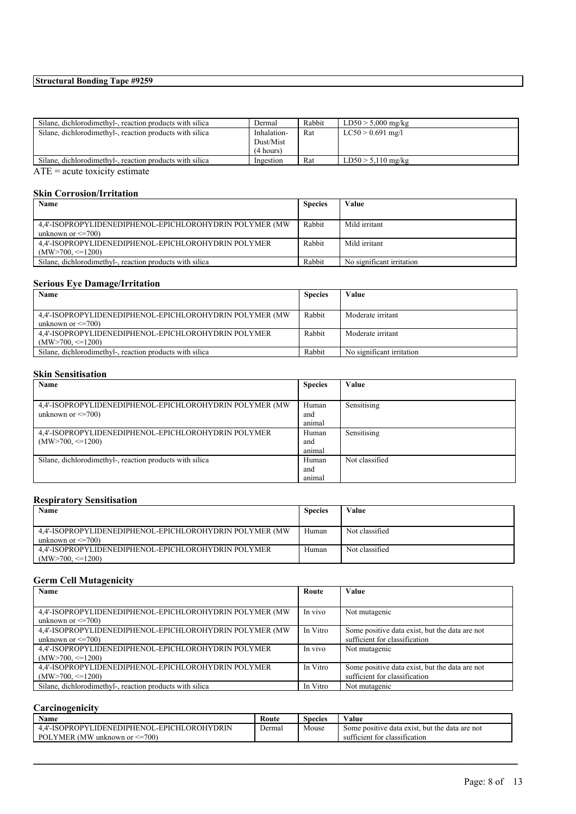| Silane, dichlorodimethyl-, reaction products with silica | Dermal      | Rabbit | $LD50 > 5,000$ mg/kg |
|----------------------------------------------------------|-------------|--------|----------------------|
| Silane, dichlorodimethyl-, reaction products with silica | Inhalation- | Rat    | $LC50 > 0.691$ mg/l  |
|                                                          | Dust/Mist   |        |                      |
|                                                          | (4 hours)   |        |                      |
| Silane, dichlorodimethyl-, reaction products with silica | Ingestion   | Rat    | $LD50 > 5.110$ mg/kg |
| $\blacksquare$                                           |             |        |                      |

ATE = acute toxicity estimate

## **Skin Corrosion/Irritation**

| Name                                                     | <b>Species</b> | Value                     |
|----------------------------------------------------------|----------------|---------------------------|
|                                                          |                |                           |
| 4.4'-ISOPROPYLIDENEDIPHENOL-EPICHLOROHYDRIN POLYMER (MW) | Rabbit         | Mild irritant             |
| unknown or $\leq$ =700)                                  |                |                           |
| 4.4'-ISOPROPYLIDENEDIPHENOL-EPICHLOROHYDRIN POLYMER      | Rabbit         | Mild irritant             |
| $(MW>700, \leq1200)$                                     |                |                           |
| Silane, dichlorodimethyl-, reaction products with silica | Rabbit         | No significant irritation |

## **Serious Eye Damage/Irritation**

| Name                                                     | <b>Species</b> | Value                     |
|----------------------------------------------------------|----------------|---------------------------|
|                                                          |                |                           |
| 4.4'-ISOPROPYLIDENEDIPHENOL-EPICHLOROHYDRIN POLYMER (MW) | Rabbit         | Moderate irritant         |
| unknown or $\leq$ =700)                                  |                |                           |
| 4.4'-ISOPROPYLIDENEDIPHENOL-EPICHLOROHYDRIN POLYMER      | Rabbit         | Moderate irritant         |
| $(MW>700 \le = 1200)$                                    |                |                           |
| Silane, dichlorodimethyl-, reaction products with silica | Rabbit         | No significant irritation |

#### **Skin Sensitisation**

| Name                                                     | <b>Species</b> | Value          |
|----------------------------------------------------------|----------------|----------------|
|                                                          |                |                |
| 4.4'-ISOPROPYLIDENEDIPHENOL-EPICHLOROHYDRIN POLYMER (MW) | Human          | Sensitising    |
| unknown or $\leq$ =700)                                  | and            |                |
|                                                          | animal         |                |
| 4,4'-ISOPROPYLIDENEDIPHENOL-EPICHLOROHYDRIN POLYMER      | Human          | Sensitising    |
| $(MW>700, \leq 1200)$                                    | and            |                |
|                                                          | animal         |                |
| Silane, dichlorodimethyl-, reaction products with silica | Human          | Not classified |
|                                                          | and            |                |
|                                                          | animal         |                |

#### **Respiratory Sensitisation**

| Name                                                                                | <b>Species</b> | Value          |
|-------------------------------------------------------------------------------------|----------------|----------------|
| 4.4'-ISOPROPYLIDENEDIPHENOL-EPICHLOROHYDRIN POLYMER (MW)<br>unknown or $\leq$ =700) | Human          | Not classified |
| 4.4'-ISOPROPYLIDENEDIPHENOL-EPICHLOROHYDRIN POLYMER<br>$(MW>700 \le = 1200)$        | Human          | Not classified |

## **Germ Cell Mutagenicity**

| Name                                                     | Route    | Value                                          |
|----------------------------------------------------------|----------|------------------------------------------------|
|                                                          |          |                                                |
| 4.4'-ISOPROPYLIDENEDIPHENOL-EPICHLOROHYDRIN POLYMER (MW) | In vivo  | Not mutagenic                                  |
| unknown or $\leq$ =700)                                  |          |                                                |
| 4.4'-ISOPROPYLIDENEDIPHENOL-EPICHLOROHYDRIN POLYMER (MW) | In Vitro | Some positive data exist, but the data are not |
| unknown or $\leq$ =700)                                  |          | sufficient for classification                  |
| 4,4'-ISOPROPYLIDENEDIPHENOL-EPICHLOROHYDRIN POLYMER      | In vivo  | Not mutagenic                                  |
| $(MW>700, \leq 1200)$                                    |          |                                                |
| 4.4'-ISOPROPYLIDENEDIPHENOL-EPICHLOROHYDRIN POLYMER      | In Vitro | Some positive data exist, but the data are not |
| $(MW>700, \leq 1200)$                                    |          | sufficient for classification                  |
| Silane, dichlorodimethyl-, reaction products with silica | In Vitro | Not mutagenic                                  |

#### **Carcinogenicity**

| Name                                        | Route  | Species | Value                                          |
|---------------------------------------------|--------|---------|------------------------------------------------|
| 4.4'-ISOPROPYLIDENEDIPHENOL-EPICHLOROHYDRIN | Dermal | Mouse   | Some positive data exist, but the data are not |
| POLYMER (MW unknown or $\leq$ =700)         |        |         | sufficient for classification                  |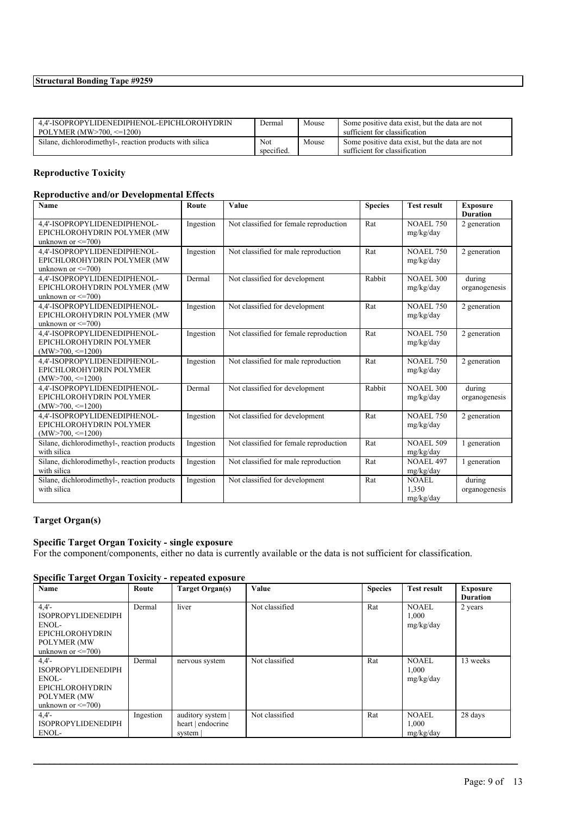| 4.4'-ISOPROPYLIDENEDIPHENOL-EPICHLOROHYDRIN              | Dermal     | Mouse | Some positive data exist, but the data are not |
|----------------------------------------------------------|------------|-------|------------------------------------------------|
| POLYMER $(MW>700 \le 1200)$                              |            |       | sufficient for classification                  |
| Silane, dichlorodimethyl-, reaction products with silica | Not        | Mouse | Some positive data exist, but the data are not |
|                                                          | specified. |       | sufficient for classification                  |

## **Reproductive Toxicity**

#### **Reproductive and/or Developmental Effects**

| Name                                                    | Route     | Value                                  | <b>Species</b> | <b>Test result</b> | <b>Exposure</b> |
|---------------------------------------------------------|-----------|----------------------------------------|----------------|--------------------|-----------------|
|                                                         |           |                                        |                |                    | <b>Duration</b> |
| 4,4'-ISOPROPYLIDENEDIPHENOL-                            | Ingestion | Not classified for female reproduction | Rat            | <b>NOAEL 750</b>   | 2 generation    |
| EPICHLOROHYDRIN POLYMER (MW                             |           |                                        |                | mg/kg/day          |                 |
| unknown or $\leq$ =700)                                 |           |                                        |                |                    |                 |
| 4,4'-ISOPROPYLIDENEDIPHENOL-                            | Ingestion | Not classified for male reproduction   | Rat            | <b>NOAEL 750</b>   | 2 generation    |
| EPICHLOROHYDRIN POLYMER (MW                             |           |                                        |                | mg/kg/day          |                 |
| unknown or $\leq$ =700)                                 |           |                                        |                |                    |                 |
| 4,4'-ISOPROPYLIDENEDIPHENOL-                            | Dermal    | Not classified for development         | Rabbit         | <b>NOAEL 300</b>   | during          |
| EPICHLOROHYDRIN POLYMER (MW                             |           |                                        |                | mg/kg/day          | organogenesis   |
| unknown or $\leq$ =700)                                 |           |                                        |                |                    |                 |
| 4,4'-ISOPROPYLIDENEDIPHENOL-                            | Ingestion | Not classified for development         | Rat            | <b>NOAEL 750</b>   | 2 generation    |
| EPICHLOROHYDRIN POLYMER (MW<br>unknown or $\leq$ =700)  |           |                                        |                | mg/kg/day          |                 |
|                                                         |           |                                        |                |                    |                 |
| 4,4'-ISOPROPYLIDENEDIPHENOL-<br>EPICHLOROHYDRIN POLYMER | Ingestion | Not classified for female reproduction | Rat            | <b>NOAEL 750</b>   | 2 generation    |
| $(MW>700, \leq 1200)$                                   |           |                                        |                | mg/kg/day          |                 |
| 4,4'-ISOPROPYLIDENEDIPHENOL-                            | Ingestion | Not classified for male reproduction   | Rat            | <b>NOAEL 750</b>   | 2 generation    |
| EPICHLOROHYDRIN POLYMER                                 |           |                                        |                | mg/kg/day          |                 |
| $(MW>700 \leq 1200)$                                    |           |                                        |                |                    |                 |
| 4,4'-ISOPROPYLIDENEDIPHENOL-                            | Dermal    | Not classified for development         | Rabbit         | <b>NOAEL 300</b>   | during          |
| EPICHLOROHYDRIN POLYMER                                 |           |                                        |                | mg/kg/day          | organogenesis   |
| $(MW>700, \leq 1200)$                                   |           |                                        |                |                    |                 |
| 4.4'-ISOPROPYLIDENEDIPHENOL-                            | Ingestion | Not classified for development         | Rat            | <b>NOAEL 750</b>   | 2 generation    |
| EPICHLOROHYDRIN POLYMER                                 |           |                                        |                | mg/kg/day          |                 |
| $(MW>700, \leq 1200)$                                   |           |                                        |                |                    |                 |
| Silane, dichlorodimethyl-, reaction products            | Ingestion | Not classified for female reproduction | Rat            | <b>NOAEL 509</b>   | 1 generation    |
| with silica                                             |           |                                        |                | mg/kg/day          |                 |
| Silane, dichlorodimethyl-, reaction products            | Ingestion | Not classified for male reproduction   | Rat            | <b>NOAEL 497</b>   | 1 generation    |
| with silica                                             |           |                                        |                | mg/kg/day          |                 |
| Silane, dichlorodimethyl-, reaction products            | Ingestion | Not classified for development         | Rat            | <b>NOAEL</b>       | during          |
| with silica                                             |           |                                        |                | 1.350              | organogenesis   |
|                                                         |           |                                        |                | mg/kg/day          |                 |

## **Target Organ(s)**

## **Specific Target Organ Toxicity - single exposure**

For the component/components, either no data is currently available or the data is not sufficient for classification.

#### **Specific Target Organ Toxicity - repeated exposure**

| Name                                                                                                             | Route     | <b>Target Organ(s)</b>                           | Value          | <b>Species</b> | <b>Test result</b>                 | <b>Exposure</b><br><b>Duration</b> |
|------------------------------------------------------------------------------------------------------------------|-----------|--------------------------------------------------|----------------|----------------|------------------------------------|------------------------------------|
| 4.4'<br><b>ISOPROPYLIDENEDIPH</b><br>$ENOL-$<br><b>EPICHLOROHYDRIN</b><br>POLYMER (MW<br>unknown or $\leq$ =700) | Dermal    | liver                                            | Not classified | Rat            | <b>NOAEL</b><br>1,000<br>mg/kg/day | 2 years                            |
| 4.4'<br><b>ISOPROPYLIDENEDIPH</b><br>ENOL-<br><b>EPICHLOROHYDRIN</b><br>POLYMER (MW<br>unknown or $\leq$ =700)   | Dermal    | nervous system                                   | Not classified | Rat            | <b>NOAEL</b><br>1,000<br>mg/kg/day | 13 weeks                           |
| 4.4'<br><b>ISOPROPYLIDENEDIPH</b><br>ENOL-                                                                       | Ingestion | auditory system  <br>heart   endocrine<br>system | Not classified | Rat            | <b>NOAEL</b><br>1,000<br>mg/kg/day | 28 days                            |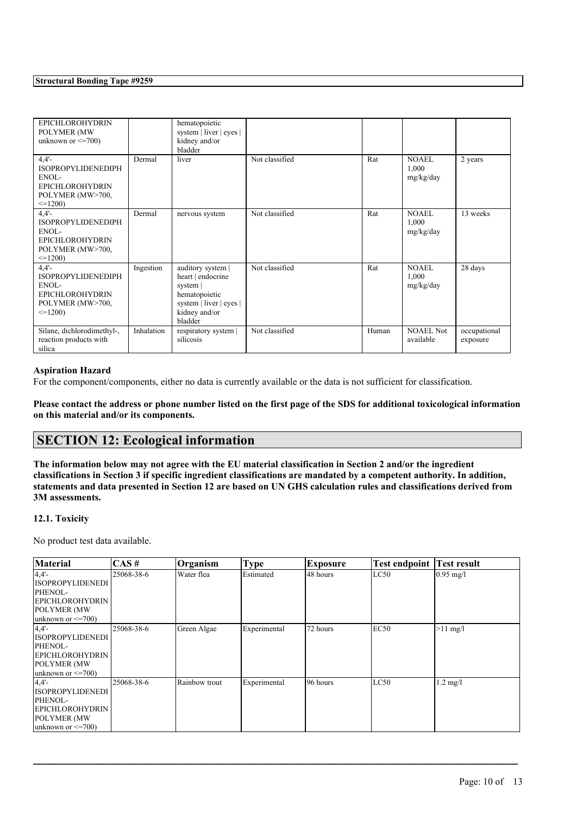| <b>EPICHLOROHYDRIN</b><br>POLYMER (MW<br>unknown or $\leq$ =700)                                          |            | hematopoietic<br>system   liver   eyes  <br>kidney and/or<br>bladder                                                         |                |       |                                    |                          |
|-----------------------------------------------------------------------------------------------------------|------------|------------------------------------------------------------------------------------------------------------------------------|----------------|-------|------------------------------------|--------------------------|
| 4.4'<br><b>ISOPROPYLIDENEDIPH</b><br>ENOL-<br><b>EPICHLOROHYDRIN</b><br>POLYMER (MW>700,<br>$\leq$ =1200) | Dermal     | liver                                                                                                                        | Not classified | Rat   | NOAEL<br>1,000<br>mg/kg/day        | 2 years                  |
| 4.4'<br><b>ISOPROPYLIDENEDIPH</b><br>ENOL-<br><b>EPICHLOROHYDRIN</b><br>POLYMER (MW>700,<br>$\leq$ =1200) | Dermal     | nervous system                                                                                                               | Not classified | Rat   | <b>NOAEL</b><br>1,000<br>mg/kg/day | 13 weeks                 |
| 4.4'<br><b>ISOPROPYLIDENEDIPH</b><br>ENOL-<br><b>EPICHLOROHYDRIN</b><br>POLYMER (MW>700,<br>$\leq$ =1200) | Ingestion  | auditory system  <br>heart   endocrine<br>system $ $<br>hematopoietic<br>system   liver   eyes  <br>kidney and/or<br>bladder | Not classified | Rat   | <b>NOAEL</b><br>1,000<br>mg/kg/day | 28 days                  |
| Silane, dichlorodimethyl-,<br>reaction products with<br>silica                                            | Inhalation | respiratory system  <br>silicosis                                                                                            | Not classified | Human | <b>NOAEL Not</b><br>available      | occupational<br>exposure |

#### **Aspiration Hazard**

For the component/components, either no data is currently available or the data is not sufficient for classification.

Please contact the address or phone number listed on the first page of the SDS for additional toxicological information **on this material and/or its components.**

## **SECTION 12: Ecological information**

The information below may not agree with the EU material classification in Section 2 and/or the ingredient classifications in Section 3 if specific ingredient classifications are mandated by a competent authority. In addition, statements and data presented in Section 12 are based on UN GHS calculation rules and classifications derived from **3M assessments.**

#### **12.1. Toxicity**

No product test data available.

| <b>Material</b>         | $\overline{CAS}$ # | Organism      | <b>Type</b>  | Exposure  | <b>Test endpoint Test result</b> |             |
|-------------------------|--------------------|---------------|--------------|-----------|----------------------------------|-------------|
| 4,4'                    | 25068-38-6         | Water flea    | Estimated    | 48 hours  | LC50                             | $0.95$ mg/l |
| <b>ISOPROPYLIDENEDI</b> |                    |               |              |           |                                  |             |
| PHENOL-                 |                    |               |              |           |                                  |             |
| <b>EPICHLOROHYDRIN</b>  |                    |               |              |           |                                  |             |
| <b>POLYMER (MW)</b>     |                    |               |              |           |                                  |             |
| unknown or $\leq$ =700) |                    |               |              |           |                                  |             |
| 4.4'                    | 25068-38-6         | Green Algae   | Experimental | 72 hours  | EC50                             | $>11$ mg/l  |
| <b>ISOPROPYLIDENEDI</b> |                    |               |              |           |                                  |             |
| PHENOL-                 |                    |               |              |           |                                  |             |
| <b> EPICHLOROHYDRIN</b> |                    |               |              |           |                                  |             |
| <b>POLYMER (MW)</b>     |                    |               |              |           |                                  |             |
| unknown or $\leq$ =700) |                    |               |              |           |                                  |             |
| 4.4'                    | 25068-38-6         | Rainbow trout | Experimental | 196 hours | LC50                             | $1.2$ mg/l  |
| <b>ISOPROPYLIDENEDI</b> |                    |               |              |           |                                  |             |
| PHENOL-                 |                    |               |              |           |                                  |             |
| <b>EPICHLOROHYDRIN</b>  |                    |               |              |           |                                  |             |
| <b>POLYMER (MW)</b>     |                    |               |              |           |                                  |             |
| unknown or $\leq$ =700) |                    |               |              |           |                                  |             |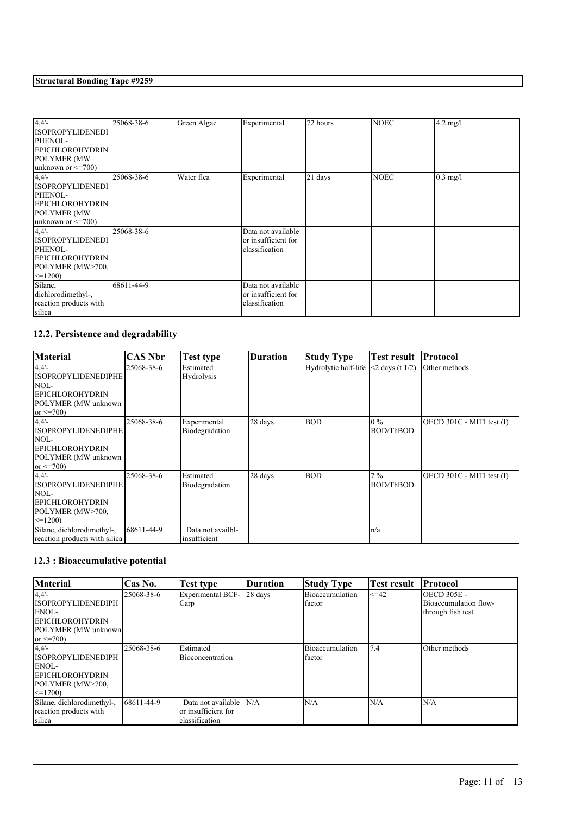| 4,4'<br><b>ISOPROPYLIDENEDI</b><br>PHENOL-<br><b>EPICHLOROHYDRIN</b><br><b>POLYMER (MW</b><br>unknown or $\leq$ =700)     | 25068-38-6 | Green Algae | Experimental                                                | 72 hours | <b>NOEC</b> | $4.2$ mg/l |
|---------------------------------------------------------------------------------------------------------------------------|------------|-------------|-------------------------------------------------------------|----------|-------------|------------|
| $4,4'$ -<br><b>ISOPROPYLIDENEDI</b><br>PHENOL-<br><b>EPICHLOROHYDRIN</b><br><b>POLYMER (MW</b><br>unknown or $\leq$ =700) | 25068-38-6 | Water flea  | Experimental                                                | 21 days  | <b>NOEC</b> | $0.3$ mg/l |
| $4,4'$ -<br><b>ISOPROPYLIDENEDI</b><br>PHENOL-<br><b>EPICHLOROHYDRIN</b><br>POLYMER (MW>700,<br>$\leq$ 1200)              | 25068-38-6 |             | Data not available<br>or insufficient for<br>classification |          |             |            |
| Silane,<br>dichlorodimethyl-,<br>reaction products with<br>silica                                                         | 68611-44-9 |             | Data not available<br>or insufficient for<br>classification |          |             |            |

## **12.2. Persistence and degradability**

| <b>Material</b>                                                                                                   | <b>CAS Nbr</b> | <b>Test type</b>                  | <b>Duration</b> | Study Type           | <b>Test result</b>        | Protocol                  |
|-------------------------------------------------------------------------------------------------------------------|----------------|-----------------------------------|-----------------|----------------------|---------------------------|---------------------------|
| 4.4'<br><b>ISOPROPYLIDENEDIPHE</b><br>NOL-<br><b>EPICHLOROHYDRIN</b><br>POLYMER (MW unknown<br>or $\leq$ 700)     | 25068-38-6     | Estimated<br><b>Hydrolysis</b>    |                 | Hydrolytic half-life | $\leq$ 2 days (t 1/2)     | Other methods             |
| $4.4'$ -<br><b>ISOPROPYLIDENEDIPHE</b><br>NOL-<br><b>EPICHLOROHYDRIN</b><br>POLYMER (MW unknown<br>or $\leq$ 700) | 25068-38-6     | Experimental<br>Biodegradation    | 28 days         | <b>BOD</b>           | $0\%$<br><b>BOD/ThBOD</b> | OECD 301C - MITI test (I) |
| 4.4'<br><b>ISOPROPYLIDENEDIPHE</b><br>NOL-<br><b>EPICHLOROHYDRIN</b><br>POLYMER (MW>700,<br>$\leq$ 1200)          | 25068-38-6     | Estimated<br>Biodegradation       | 28 days         | <b>BOD</b>           | $7\%$<br><b>BOD/ThBOD</b> | OECD 301C - MITI test (I) |
| Silane, dichlorodimethyl-,<br>reaction products with silica                                                       | 68611-44-9     | Data not availbl-<br>insufficient |                 |                      | n/a                       |                           |

## **12.3 : Bioaccumulative potential**

| <b>Material</b>            | Cas No.    | Test type                | Duration | <b>Study Type</b> | Test result | <b>Protocol</b>       |
|----------------------------|------------|--------------------------|----------|-------------------|-------------|-----------------------|
| $4,4'$ -                   | 25068-38-6 | <b>Experimental BCF-</b> | 28 days  | Bioaccumulation   | $\leq 42$   | <b>OECD 305E -</b>    |
| <b>ISOPROPYLIDENEDIPH</b>  |            | Carp                     |          | factor            |             | Bioaccumulation flow- |
| ENOL-                      |            |                          |          |                   |             | through fish test     |
| <b>EPICHLOROHYDRIN</b>     |            |                          |          |                   |             |                       |
| POLYMER (MW unknown)       |            |                          |          |                   |             |                       |
| or $\leq$ 700)             |            |                          |          |                   |             |                       |
| $4,4'$ -                   | 25068-38-6 | Estimated                |          | Bioaccumulation   | 7.4         | Other methods         |
| <b>ISOPROPYLIDENEDIPH</b>  |            | Bioconcentration         |          | factor            |             |                       |
| ENOL-                      |            |                          |          |                   |             |                       |
| <b>EPICHLOROHYDRIN</b>     |            |                          |          |                   |             |                       |
| POLYMER (MW>700,           |            |                          |          |                   |             |                       |
| $\leq$ =1200)              |            |                          |          |                   |             |                       |
| Silane, dichlorodimethyl-, | 68611-44-9 | Data not available       | N/A      | N/A               | N/A         | N/A                   |
| reaction products with     |            | or insufficient for      |          |                   |             |                       |
| silica                     |            | classification           |          |                   |             |                       |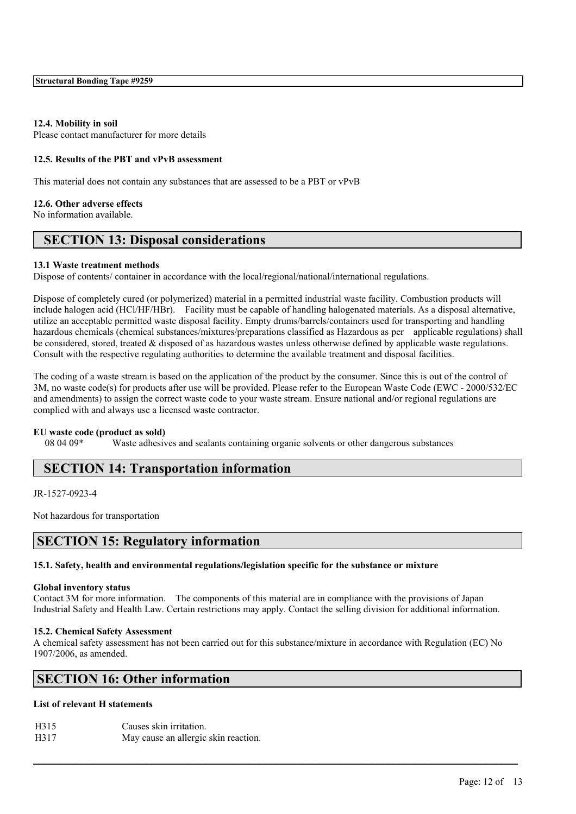#### **12.4. Mobility in soil**

Please contact manufacturer for more details

#### **12.5. Results of the PBT and vPvB assessment**

This material does not contain any substances that are assessed to be a PBT or vPvB

#### **12.6. Other adverse effects**

No information available.

## **SECTION 13: Disposal considerations**

#### **13.1 Waste treatment methods**

Dispose of contents/ container in accordance with the local/regional/national/international regulations.

Dispose of completely cured (or polymerized) material in a permitted industrial waste facility. Combustion products will include halogen acid (HCl/HF/HBr). Facility must be capable of handling halogenated materials. As a disposal alternative, utilize an acceptable permitted waste disposal facility. Empty drums/barrels/containers used for transporting and handling hazardous chemicals (chemical substances/mixtures/preparations classified as Hazardous as per applicable regulations) shall be considered, stored, treated & disposed of as hazardous wastes unless otherwise defined by applicable waste regulations. Consult with the respective regulating authorities to determine the available treatment and disposal facilities.

The coding of a waste stream is based on the application of the product by the consumer. Since this is out of the control of 3M, no waste code(s) for products after use will be provided. Please refer to the European Waste Code (EWC - 2000/532/EC and amendments) to assign the correct waste code to your waste stream. Ensure national and/or regional regulations are complied with and always use a licensed waste contractor.

#### **EU waste code (product as sold)**

08 04 09\* Waste adhesives and sealants containing organic solvents or other dangerous substances

## **SECTION 14: Transportation information**

JR-1527-0923-4

Not hazardous for transportation

## **SECTION 15: Regulatory information**

#### **15.1. Safety, health and environmental regulations/legislation specific for the substance or mixture**

#### **Global inventory status**

Contact 3M for more information. The components of this material are in compliance with the provisions of Japan Industrial Safety and Health Law. Certain restrictions may apply. Contact the selling division for additional information.

#### **15.2. Chemical Safety Assessment**

A chemical safety assessment has not been carried out for this substance/mixture in accordance with Regulation (EC) No 1907/2006, as amended.

 $\mathcal{L}_\mathcal{L} = \mathcal{L}_\mathcal{L} = \mathcal{L}_\mathcal{L} = \mathcal{L}_\mathcal{L} = \mathcal{L}_\mathcal{L} = \mathcal{L}_\mathcal{L} = \mathcal{L}_\mathcal{L} = \mathcal{L}_\mathcal{L} = \mathcal{L}_\mathcal{L} = \mathcal{L}_\mathcal{L} = \mathcal{L}_\mathcal{L} = \mathcal{L}_\mathcal{L} = \mathcal{L}_\mathcal{L} = \mathcal{L}_\mathcal{L} = \mathcal{L}_\mathcal{L} = \mathcal{L}_\mathcal{L} = \mathcal{L}_\mathcal{L}$ 

## **SECTION 16: Other information**

#### **List of relevant H statements**

| H315 | Causes skin irritation.              |
|------|--------------------------------------|
| H317 | May cause an allergic skin reaction. |